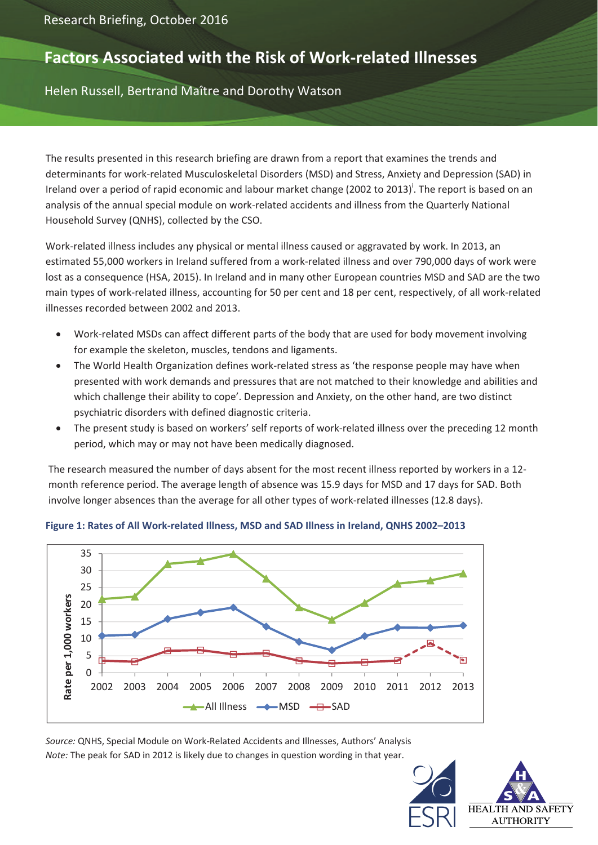# **Factors Associated with the Risk of Work‐related Illnesses**

Helen Russell, Bertrand Maître and Dorothy Watson

The results presented in this research briefing are drawn from a report that examines the trends and determinants for work‐related Musculoskeletal Disorders (MSD) and Stress, Anxiety and Depression (SAD) in Ireland over a period of rapid economic and labour market change (2002 to 2013)<sup>'</sup>. The report is based on an analysis of the annual special module on work‐related accidents and illness from the Quarterly National Household Survey (QNHS), collected by the CSO.

Work‐related illness includes any physical or mental illness caused or aggravated by work. In 2013, an estimated 55,000 workers in Ireland suffered from a work‐related illness and over 790,000 days of work were lost as a consequence (HSA, 2015). In Ireland and in many other European countries MSD and SAD are the two main types of work‐related illness, accounting for 50 per cent and 18 per cent, respectively, of all work‐related illnesses recorded between 2002 and 2013.

- Work-related MSDs can affect different parts of the body that are used for body movement involving for example the skeleton, muscles, tendons and ligaments.
- The World Health Organization defines work‐related stress as 'the response people may have when presented with work demands and pressures that are not matched to their knowledge and abilities and which challenge their ability to cope'. Depression and Anxiety, on the other hand, are two distinct psychiatric disorders with defined diagnostic criteria.
- The present study is based on workers' self reports of work‐related illness over the preceding 12 month period, which may or may not have been medically diagnosed.

The research measured the number of days absent for the most recent illness reported by workers in a 12‐ month reference period. The average length of absence was 15.9 days for MSD and 17 days for SAD. Both involve longer absences than the average for all other types of work‐related illnesses (12.8 days).



**Figure 1: Rates of All Work‐related Illness, MSD and SAD Illness in Ireland, QNHS 2002–2013**

*Source:* QNHS, Special Module on Work‐Related Accidents and Illnesses, Authors' Analysis *Note:* The peak for SAD in 2012 is likely due to changes in question wording in that year.

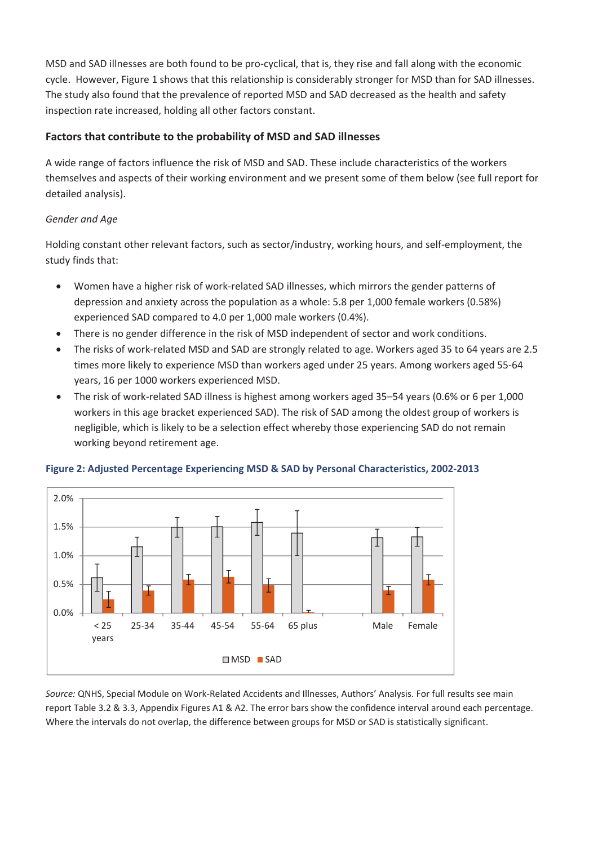MSD and SAD illnesses are both found to be pro‐cyclical, that is, they rise and fall along with the economic cycle. However, Figure 1 shows that this relationship is considerably stronger for MSD than for SAD illnesses. The study also found that the prevalence of reported MSD and SAD decreased as the health and safety inspection rate increased, holding all other factors constant.

## **Factors that contribute to the probability of MSD and SAD illnesses**

A wide range of factors influence the risk of MSD and SAD. These include characteristics of the workers themselves and aspects of their working environment and we present some of them below (see full report for detailed analysis).

## *Gender and Age*

Holding constant other relevant factors, such as sector/industry, working hours, and self‐employment, the study finds that:

- Women have a higher risk of work‐related SAD illnesses, which mirrors the gender patterns of depression and anxiety across the population as a whole: 5.8 per 1,000 female workers (0.58%) experienced SAD compared to 4.0 per 1,000 male workers (0.4%).
- There is no gender difference in the risk of MSD independent of sector and work conditions.
- The risks of work‐related MSD and SAD are strongly related to age. Workers aged 35 to 64 years are 2.5 times more likely to experience MSD than workers aged under 25 years. Among workers aged 55‐64 years, 16 per 1000 workers experienced MSD.
- The risk of work‐related SAD illness is highest among workers aged 35–54 years (0.6% or 6 per 1,000 workers in this age bracket experienced SAD). The risk of SAD among the oldest group of workers is negligible, which is likely to be a selection effect whereby those experiencing SAD do not remain working beyond retirement age.



#### **Figure 2: Adjusted Percentage Experiencing MSD & SAD by Personal Characteristics, 2002‐2013**

*Source:* QNHS, Special Module on Work‐Related Accidents and Illnesses, Authors' Analysis. For full results see main report Table 3.2 & 3.3, Appendix Figures A1 & A2. The error bars show the confidence interval around each percentage. Where the intervals do not overlap, the difference between groups for MSD or SAD is statistically significant.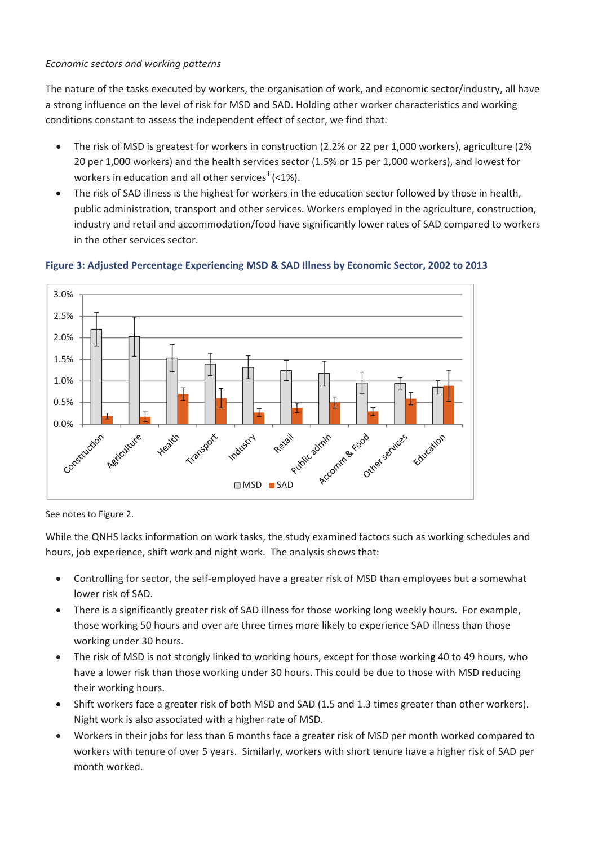#### *Economic sectors and working patterns*

The nature of the tasks executed by workers, the organisation of work, and economic sector/industry, all have a strong influence on the level of risk for MSD and SAD. Holding other worker characteristics and working conditions constant to assess the independent effect of sector, we find that:

- The risk of MSD is greatest for workers in construction (2.2% or 22 per 1,000 workers), agriculture (2% 20 per 1,000 workers) and the health services sector (1.5% or 15 per 1,000 workers), and lowest for workers in education and all other services<sup>ii</sup> (<1%).
- The risk of SAD illness is the highest for workers in the education sector followed by those in health, public administration, transport and other services. Workers employed in the agriculture, construction, industry and retail and accommodation/food have significantly lower rates of SAD compared to workers in the other services sector.



#### **Figure 3: Adjusted Percentage Experiencing MSD & SAD Illness by Economic Sector, 2002 to 2013**

See notes to Figure 2.

While the QNHS lacks information on work tasks, the study examined factors such as working schedules and hours, job experience, shift work and night work. The analysis shows that:

- Controlling for sector, the self-employed have a greater risk of MSD than employees but a somewhat lower risk of SAD.
- There is a significantly greater risk of SAD illness for those working long weekly hours. For example, those working 50 hours and over are three times more likely to experience SAD illness than those working under 30 hours.
- The risk of MSD is not strongly linked to working hours, except for those working 40 to 49 hours, who have a lower risk than those working under 30 hours. This could be due to those with MSD reducing their working hours.
- Shift workers face a greater risk of both MSD and SAD (1.5 and 1.3 times greater than other workers). Night work is also associated with a higher rate of MSD.
- Workers in their jobs for less than 6 months face a greater risk of MSD per month worked compared to workers with tenure of over 5 years. Similarly, workers with short tenure have a higher risk of SAD per month worked.